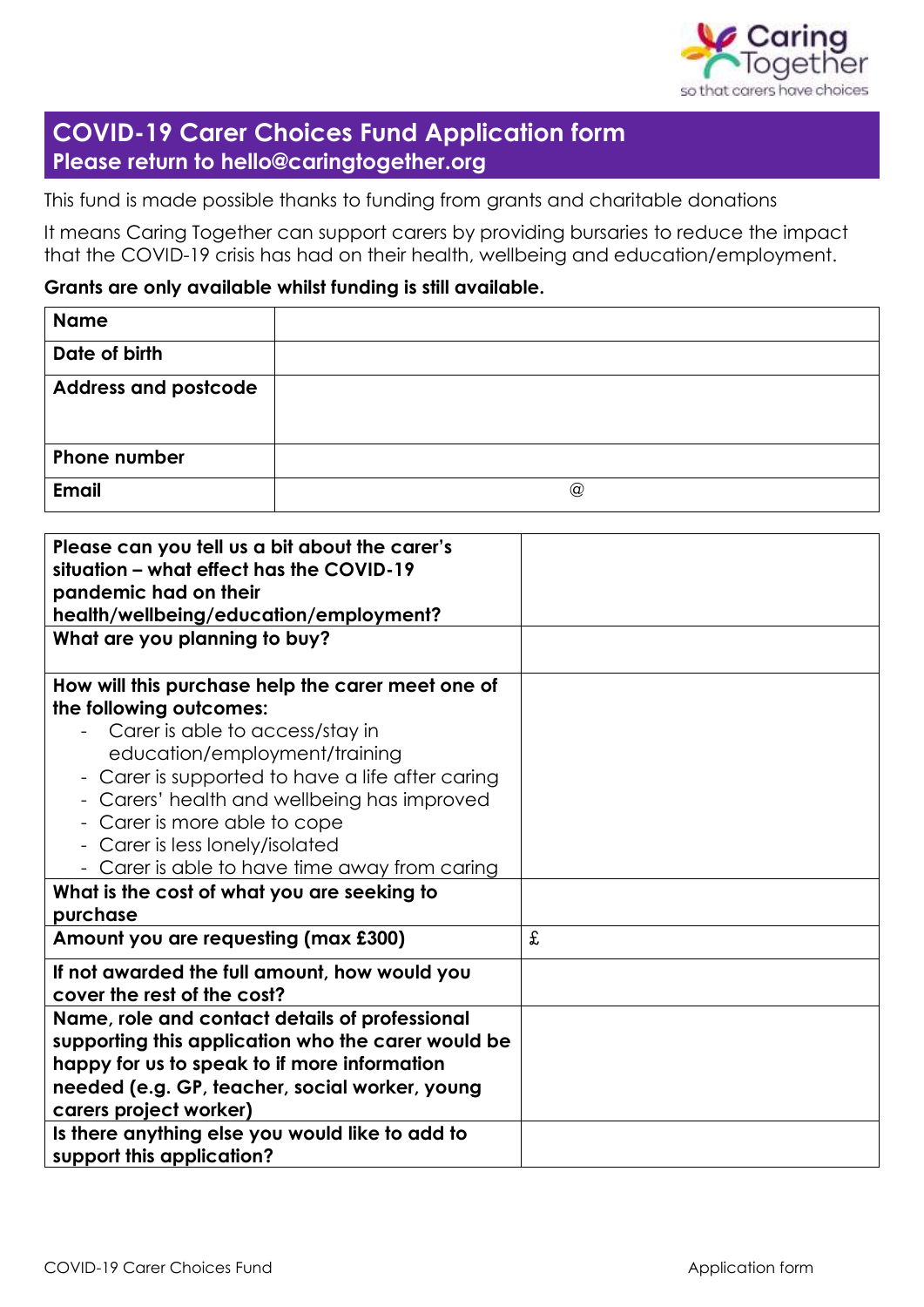

# **COVID-19 Carer Choices Fund Application form Please return to hello@caringtogether.org**

This fund is made possible thanks to funding from grants and charitable donations

It means Caring Together can support carers by providing bursaries to reduce the impact that the COVID-19 crisis has had on their health, wellbeing and education/employment.

## **Grants are only available whilst funding is still available.**

| <b>Name</b>                 |                 |
|-----------------------------|-----------------|
| Date of birth               |                 |
| <b>Address and postcode</b> |                 |
|                             |                 |
| <b>Phone number</b>         |                 |
| <b>Email</b>                | $^{\copyright}$ |

| Please can you tell us a bit about the carer's<br>situation – what effect has the COVID-19<br>pandemic had on their<br>health/wellbeing/education/employment?                                                                                                                                                                                                                                                                      |   |
|------------------------------------------------------------------------------------------------------------------------------------------------------------------------------------------------------------------------------------------------------------------------------------------------------------------------------------------------------------------------------------------------------------------------------------|---|
| What are you planning to buy?                                                                                                                                                                                                                                                                                                                                                                                                      |   |
| How will this purchase help the carer meet one of<br>the following outcomes:<br>Carer is able to access/stay in<br>education/employment/training<br>- Carer is supported to have a life after caring<br>- Carers' health and wellbeing has improved<br>- Carer is more able to cope<br>- Carer is less lonely/isolated<br>- Carer is able to have time away from caring<br>What is the cost of what you are seeking to<br>purchase |   |
| Amount you are requesting (max £300)                                                                                                                                                                                                                                                                                                                                                                                               | £ |
| If not awarded the full amount, how would you<br>cover the rest of the cost?                                                                                                                                                                                                                                                                                                                                                       |   |
| Name, role and contact details of professional<br>supporting this application who the carer would be<br>happy for us to speak to if more information<br>needed (e.g. GP, teacher, social worker, young<br>carers project worker)<br>Is there anything else you would like to add to<br>support this application?                                                                                                                   |   |